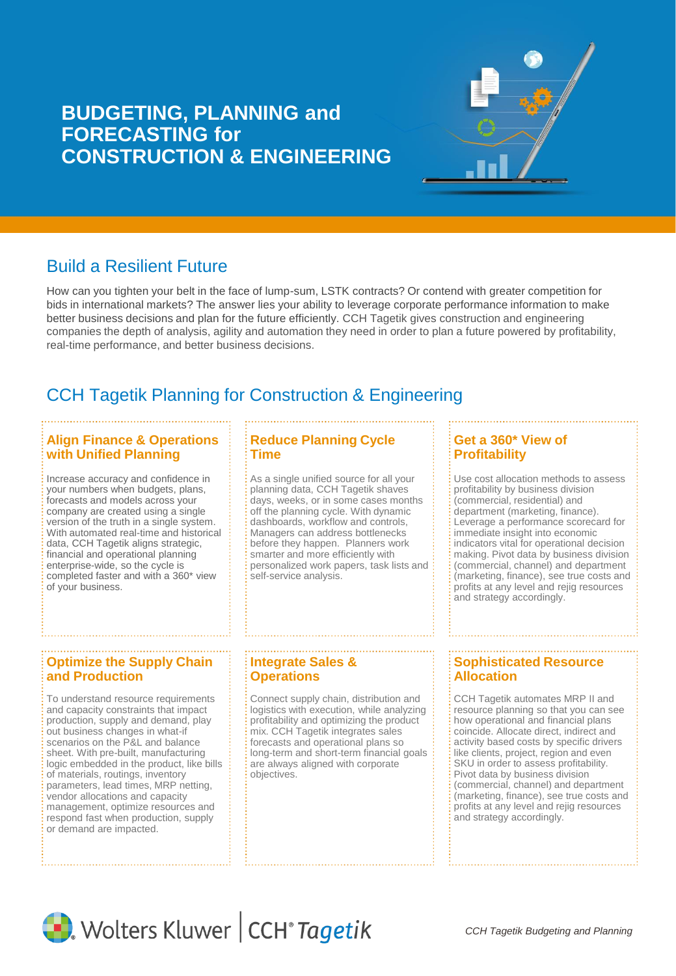# **BUDGETING, PLANNING and FORECASTING for CONSTRUCTION & ENGINEERING**



How can you tighten your belt in the face of lump-sum, LSTK contracts? Or contend with greater competition for bids in international markets? The answer lies your ability to leverage corporate performance information to make better business decisions and plan for the future efficiently. CCH Tagetik gives construction and engineering companies the depth of analysis, agility and automation they need in order to plan a future powered by profitability, real-time performance, and better business decisions.

# CCH Tagetik Planning for Construction & Engineering

### **Align Finance & Operations with Unified Planning**

Increase accuracy and confidence in your numbers when budgets, plans, forecasts and models across your company are created using a single version of the truth in a single system. With automated real-time and historical data, CCH Tagetik aligns strategic, financial and operational planning enterprise-wide, so the cycle is completed faster and with a 360\* view of your business.

## **Reduce Planning Cycle Time**

As a single unified source for all your planning data, CCH Tagetik shaves days, weeks, or in some cases months off the planning cycle. With dynamic dashboards, workflow and controls, Managers can address bottlenecks before they happen. Planners work smarter and more efficiently with personalized work papers, task lists and self-service analysis.

#### **Get a 360\* View of Profitability**

Use cost allocation methods to assess profitability by business division (commercial, residential) and department (marketing, finance). Leverage a performance scorecard for immediate insight into economic indicators vital for operational decision making. Pivot data by business division (commercial, channel) and department (marketing, finance), see true costs and profits at any level and rejig resources and strategy accordingly.

# **Optimize the Supply Chain and Production**

To understand resource requirements and capacity constraints that impact production, supply and demand, play out business changes in what-if scenarios on the P&L and balance sheet. With pre-built, manufacturing logic embedded in the product, like bills of materials, routings, inventory parameters, lead times, MRP netting, vendor allocations and capacity management, optimize resources and respond fast when production, supply or demand are impacted.

# **Integrate Sales & Operations**

Connect supply chain, distribution and logistics with execution, while analyzing profitability and optimizing the product mix. CCH Tagetik integrates sales forecasts and operational plans so long-term and short-term financial goals are always aligned with corporate objectives.

# **Sophisticated Resource Allocation**

CCH Tagetik automates MRP II and resource planning so that you can see how operational and financial plans coincide. Allocate direct, indirect and activity based costs by specific drivers like clients, project, region and even SKU in order to assess profitability. Pivot data by business division (commercial, channel) and department (marketing, finance), see true costs and profits at any level and rejig resources and strategy accordingly.